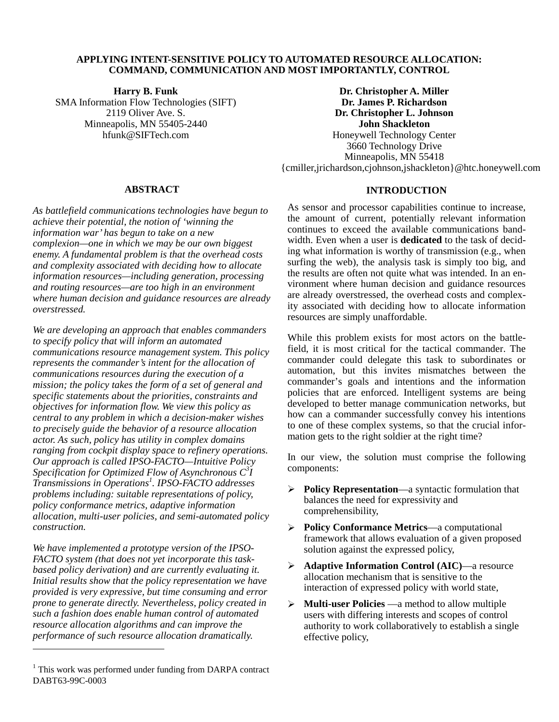## **APPLYING INTENT-SENSITIVE POLICY TO AUTOMATED RESOURCE ALLOCATION: COMMAND, COMMUNICATION AND MOST IMPORTANTLY, CONTROL**

**Harry B. Funk** 

SMA Information Flow Technologies (SIFT) 2119 Oliver Ave. S. Minneapolis, MN 55405-2440 hfunk@SIFTech.com

**Dr. Christopher A. Miller Dr. James P. Richardson Dr. Christopher L. Johnson John Shackleton**  Honeywell Technology Center 3660 Technology Drive Minneapolis, MN 55418 {cmiller,jrichardson,cjohnson,jshackleton}@htc.honeywell.com

## **ABSTRACT**

*As battlefield communications technologies have begun to achieve their potential, the notion of 'winning the information war' has begun to take on a new complexion—one in which we may be our own biggest enemy. A fundamental problem is that the overhead costs and complexity associated with deciding how to allocate information resources—including generation, processing and routing resources—are too high in an environment where human decision and guidance resources are already overstressed.* 

*We are developing an approach that enables commanders to specify policy that will inform an automated communications resource management system. This policy represents the commander's intent for the allocation of communications resources during the execution of a mission; the policy takes the form of a set of general and specific statements about the priorities, constraints and objectives for information flow. We view this policy as central to any problem in which a decision-maker wishes to precisely guide the behavior of a resource allocation actor. As such, policy has utility in complex domains ranging from cockpit display space to refinery operations. Our approach is called IPSO-FACTO—Intuitive Policy Specification for Optimized Flow of Asynchronous C<sup>3</sup> I Transmissions in Operations<sup>1</sup> . IPSO-FACTO addresses problems including: suitable representations of policy, policy conformance metrics, adaptive information allocation, multi-user policies, and semi-automated policy construction.* 

*We have implemented a prototype version of the IPSO-FACTO system (that does not yet incorporate this taskbased policy derivation) and are currently evaluating it. Initial results show that the policy representation we have provided is very expressive, but time consuming and error prone to generate directly. Nevertheless, policy created in such a fashion does enable human control of automated resource allocation algorithms and can improve the performance of such resource allocation dramatically.* 

 $\overline{a}$ 

# **INTRODUCTION**

As sensor and processor capabilities continue to increase, the amount of current, potentially relevant information continues to exceed the available communications bandwidth. Even when a user is **dedicated** to the task of deciding what information is worthy of transmission (e.g., when surfing the web), the analysis task is simply too big, and the results are often not quite what was intended. In an environment where human decision and guidance resources are already overstressed, the overhead costs and complexity associated with deciding how to allocate information resources are simply unaffordable.

While this problem exists for most actors on the battlefield, it is most critical for the tactical commander. The commander could delegate this task to subordinates or automation, but this invites mismatches between the commander's goals and intentions and the information policies that are enforced. Intelligent systems are being developed to better manage communication networks, but how can a commander successfully convey his intentions to one of these complex systems, so that the crucial information gets to the right soldier at the right time?

In our view, the solution must comprise the following components:

- **Policy Representation**—a syntactic formulation that balances the need for expressivity and comprehensibility,
- **Policy Conformance Metrics**—a computational framework that allows evaluation of a given proposed solution against the expressed policy,
- **Adaptive Information Control (AIC)**—a resource allocation mechanism that is sensitive to the interaction of expressed policy with world state,
- **Multi-user Policies** —a method to allow multiple users with differing interests and scopes of control authority to work collaboratively to establish a single effective policy,

<sup>&</sup>lt;sup>1</sup> This work was performed under funding from DARPA contract DABT63-99C-0003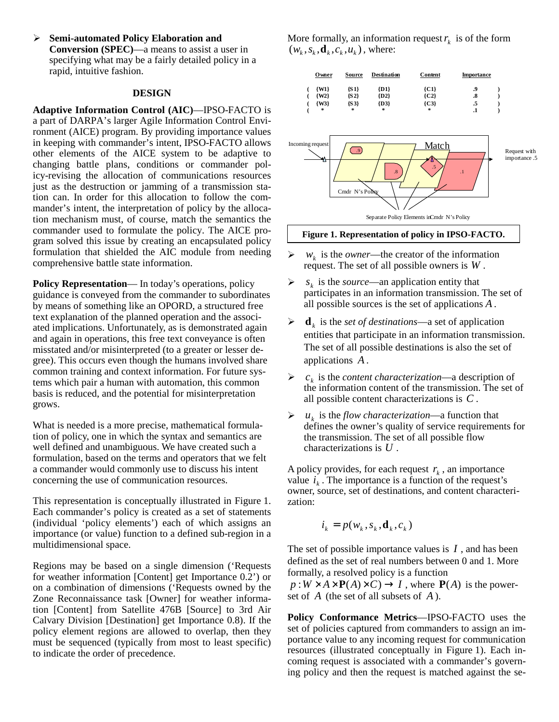**Semi-automated Policy Elaboration and Conversion (SPEC)**—a means to assist a user in specifying what may be a fairly detailed policy in a rapid, intuitive fashion.

#### **DESIGN**

**Adaptive Information Control (AIC)**—IPSO-FACTO is a part of DARPA's larger Agile Information Control Environment (AICE) program. By providing importance values in keeping with commander's intent, IPSO-FACTO allows other elements of the AICE system to be adaptive to changing battle plans, conditions or commander policy-revising the allocation of communications resources just as the destruction or jamming of a transmission station can. In order for this allocation to follow the commander's intent, the interpretation of policy by the allocation mechanism must, of course, match the semantics the commander used to formulate the policy. The AICE program solved this issue by creating an encapsulated policy formulation that shielded the AIC module from needing comprehensive battle state information.

**Policy Representation—** In today's operations, policy guidance is conveyed from the commander to subordinates by means of something like an OPORD, a structured free text explanation of the planned operation and the associated implications. Unfortunately, as is demonstrated again and again in operations, this free text conveyance is often misstated and/or misinterpreted (to a greater or lesser degree). This occurs even though the humans involved share common training and context information. For future systems which pair a human with automation, this common basis is reduced, and the potential for misinterpretation grows.

What is needed is a more precise, mathematical formulation of policy, one in which the syntax and semantics are well defined and unambiguous. We have created such a formulation, based on the terms and operators that we felt a commander would commonly use to discuss his intent concerning the use of communication resources.

This representation is conceptually illustrated in Figure 1. Each commander's policy is created as a set of statements (individual 'policy elements') each of which assigns an importance (or value) function to a defined sub-region in a multidimensional space.

Regions may be based on a single dimension ('Requests for weather information [Content] get Importance 0.2') or on a combination of dimensions ('Requests owned by the Zone Reconnaissance task [Owner] for weather information [Content] from Satellite 476B [Source] to 3rd Air Calvary Division [Destination] get Importance 0.8). If the policy element regions are allowed to overlap, then they must be sequenced (typically from most to least specific) to indicate the order of precedence.

More formally, an information request  $r_k$  is of the form  $(w_k, s_k, \mathbf{d}_k, c_k, u_k)$ , where:





#### **Figure 1. Representation of policy in IPSO-FACTO.**

- $\triangleright$  *w<sub>k</sub>* is the *owner*—the creator of the information request. The set of all possible owners is *W* .
- $\triangleright$  *s*<sub>k</sub> is the *source*—an application entity that participates in an information transmission. The set of all possible sources is the set of applications *A* .
- $\blacktriangleright$  **d**<sub>*k*</sub> is the *set of destinations*—a set of application entities that participate in an information transmission. The set of all possible destinations is also the set of applications *A* .
- $\triangleright$   $c_k$  is the *content characterization*—a description of the information content of the transmission. The set of all possible content characterizations is *C* .
- $\triangleright$  *u<sub>k</sub>* is the *flow characterization*—a function that defines the owner's quality of service requirements for the transmission. The set of all possible flow characterizations is *U* .

A policy provides, for each request  $r_k$ , an importance value  $i_k$ . The importance is a function of the request's owner, source, set of destinations, and content characterization:

$$
i_k = p(w_k, s_k, \mathbf{d}_k, c_k)
$$

The set of possible importance values is *I* , and has been defined as the set of real numbers between 0 and 1. More formally, a resolved policy is a function

 $p:W \times A \times P(A) \times C \rightarrow I$ , where  $P(A)$  is the powerset of *A* (the set of all subsets of *A* ).

**Policy Conformance Metrics**—IPSO-FACTO uses the set of policies captured from commanders to assign an importance value to any incoming request for communication resources (illustrated conceptually in Figure 1). Each incoming request is associated with a commander's governing policy and then the request is matched against the se-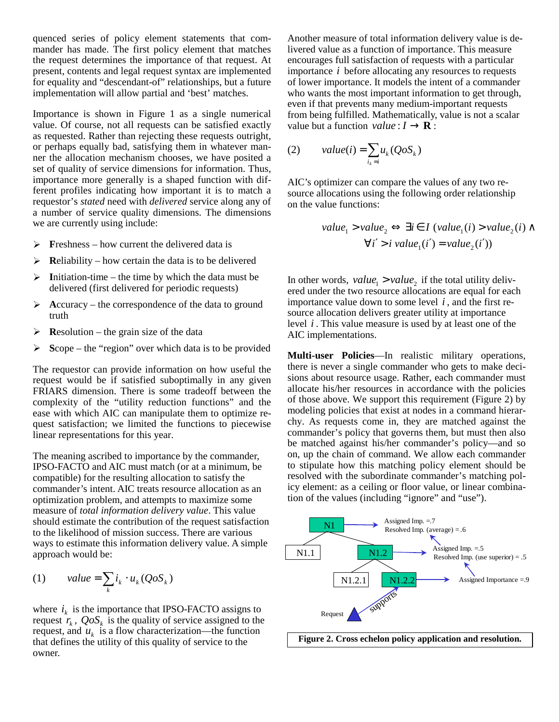quenced series of policy element statements that commander has made. The first policy element that matches the request determines the importance of that request. At present, contents and legal request syntax are implemented for equality and "descendant-of" relationships, but a future implementation will allow partial and 'best' matches.

Importance is shown in Figure 1 as a single numerical value. Of course, not all requests can be satisfied exactly as requested. Rather than rejecting these requests outright, or perhaps equally bad, satisfying them in whatever manner the allocation mechanism chooses, we have posited a set of quality of service dimensions for information. Thus, importance more generally is a shaped function with different profiles indicating how important it is to match a requestor's *stated* need with *delivered* service along any of a number of service quality dimensions. The dimensions we are currently using include:

- $\triangleright$  **Freshness** how current the delivered data is
- $\triangleright$  **Reliability** how certain the data is to be delivered
- $\triangleright$  Initiation-time the time by which the data must be delivered (first delivered for periodic requests)
- $\triangleright$  Accuracy the correspondence of the data to ground truth
- $\triangleright$  **Resolution** the grain size of the data
- $\triangleright$  Scope the "region" over which data is to be provided

The requestor can provide information on how useful the request would be if satisfied suboptimally in any given FRIARS dimension. There is some tradeoff between the complexity of the "utility reduction functions" and the ease with which AIC can manipulate them to optimize request satisfaction; we limited the functions to piecewise linear representations for this year.

The meaning ascribed to importance by the commander, IPSO-FACTO and AIC must match (or at a minimum, be compatible) for the resulting allocation to satisfy the commander's intent. AIC treats resource allocation as an optimization problem, and attempts to maximize some measure of *total information delivery value*. This value should estimate the contribution of the request satisfaction to the likelihood of mission success. There are various ways to estimate this information delivery value. A simple approach would be:

(1) value = 
$$
\sum_{k} i_{k} \cdot u_{k} (QoS_{k})
$$

where  $i_k$  is the importance that IPSO-FACTO assigns to request  $r_k$ ,  $QoS_k$  is the quality of service assigned to the request, and  $u_k$  is a flow characterization—the function that defines the utility of this quality of service to the owner.

Another measure of total information delivery value is delivered value as a function of importance. This measure encourages full satisfaction of requests with a particular importance *i* before allocating any resources to requests of lower importance. It models the intent of a commander who wants the most important information to get through, even if that prevents many medium-important requests from being fulfilled. Mathematically, value is not a scalar value but a function *value* :  $I \rightarrow \mathbf{R}$  :

(2) value(i) = 
$$
\sum_{i_k=i} u_k (QoS_k)
$$

AIC's optimizer can compare the values of any two resource allocations using the following order relationship on the value functions:

> $\forall i' > i \ value_{i}(i') = value_{i}(i')$  $value_1 > value_2 \Leftrightarrow \exists i \in I \ (value_1(i) > value_2(i) \land \emptyset$

In other words,  $value_1 > value_2$  if the total utility delivered under the two resource allocations are equal for each importance value down to some level  $i$ , and the first resource allocation delivers greater utility at importance level *i* . This value measure is used by at least one of the AIC implementations.

**Multi-user Policies**—In realistic military operations, there is never a single commander who gets to make decisions about resource usage. Rather, each commander must allocate his/her resources in accordance with the policies of those above. We support this requirement (Figure 2) by modeling policies that exist at nodes in a command hierarchy. As requests come in, they are matched against the commander's policy that governs them, but must then also be matched against his/her commander's policy—and so on, up the chain of command. We allow each commander to stipulate how this matching policy element should be resolved with the subordinate commander's matching policy element: as a ceiling or floor value, or linear combination of the values (including "ignore" and "use").



**Figure 2. Cross echelon policy application and resolution.**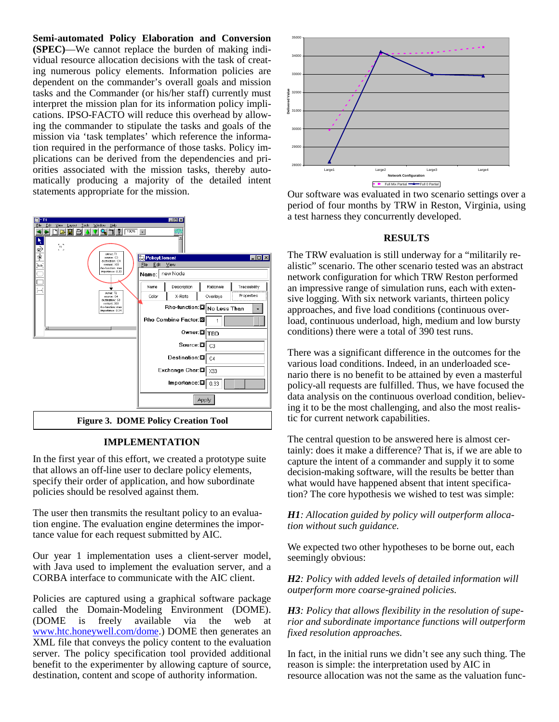**Semi-automated Policy Elaboration and Conversion (SPEC)**—We cannot replace the burden of making individual resource allocation decisions with the task of creating numerous policy elements. Information policies are dependent on the commander's overall goals and mission tasks and the Commander (or his/her staff) currently must interpret the mission plan for its information policy implications. IPSO-FACTO will reduce this overhead by allowing the commander to stipulate the tasks and goals of the mission via 'task templates' which reference the information required in the performance of those tasks. Policy implications can be derived from the dependencies and priorities associated with the mission tasks, thereby automatically producing a majority of the detailed intent statements appropriate for the mission.



# **IMPLEMENTATION**

In the first year of this effort, we created a prototype suite that allows an off-line user to declare policy elements, specify their order of application, and how subordinate policies should be resolved against them.

The user then transmits the resultant policy to an evaluation engine. The evaluation engine determines the importance value for each request submitted by AIC.

Our year 1 implementation uses a client-server model, with Java used to implement the evaluation server, and a CORBA interface to communicate with the AIC client.

Policies are captured using a graphical software package called the Domain-Modeling Environment (DOME).<br>(DOME is freely available via the web at freely available via the web at www.htc.honeywell.com/dome.) DOME then generates an XML file that conveys the policy content to the evaluation server. The policy specification tool provided additional benefit to the experimenter by allowing capture of source, destination, content and scope of authority information.



Our software was evaluated in two scenario settings over a period of four months by TRW in Reston, Virginia, using a test harness they concurrently developed.

## **RESULTS**

The TRW evaluation is still underway for a "militarily realistic" scenario. The other scenario tested was an abstract network configuration for which TRW Reston performed an impressive range of simulation runs, each with extensive logging. With six network variants, thirteen policy approaches, and five load conditions (continuous overload, continuous underload, high, medium and low bursty conditions) there were a total of 390 test runs.

There was a significant difference in the outcomes for the various load conditions. Indeed, in an underloaded scenario there is no benefit to be attained by even a masterful policy-all requests are fulfilled. Thus, we have focused the data analysis on the continuous overload condition, believing it to be the most challenging, and also the most realistic for current network capabilities.

The central question to be answered here is almost certainly: does it make a difference? That is, if we are able to capture the intent of a commander and supply it to some decision-making software, will the results be better than what would have happened absent that intent specification? The core hypothesis we wished to test was simple:

*H1: Allocation guided by policy will outperform allocation without such guidance.*

We expected two other hypotheses to be borne out, each seemingly obvious:

*H2: Policy with added levels of detailed information will outperform more coarse-grained policies.* 

*H3: Policy that allows flexibility in the resolution of superior and subordinate importance functions will outperform fixed resolution approaches.* 

In fact, in the initial runs we didn't see any such thing. The reason is simple: the interpretation used by AIC in resource allocation was not the same as the valuation func-